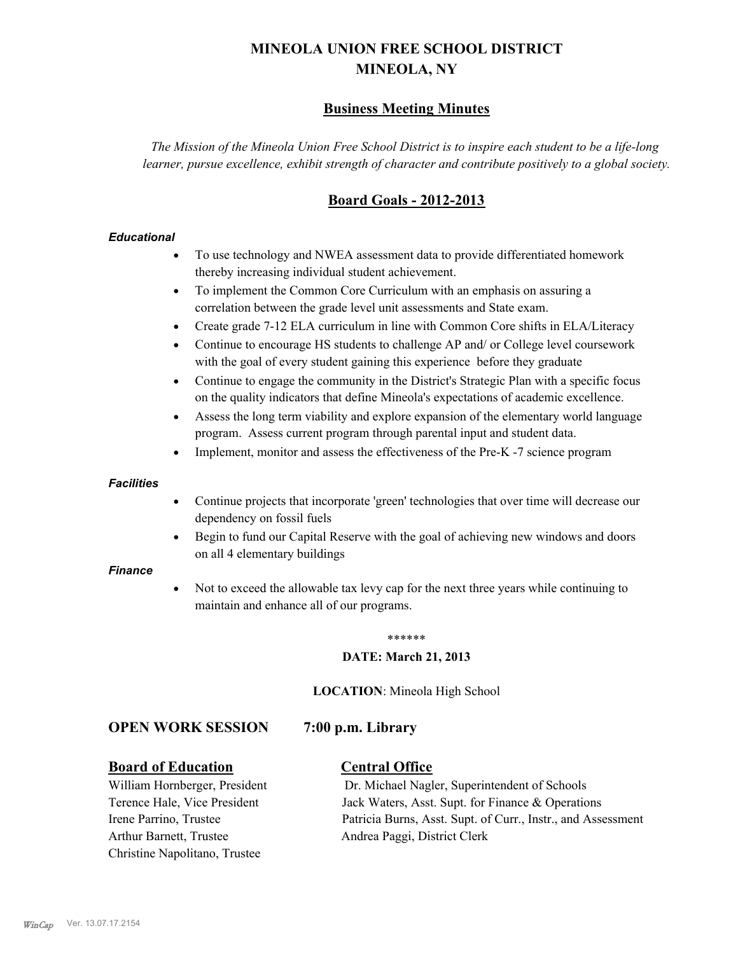# **MINEOLA UNION FREE SCHOOL DISTRICT MINEOLA, NY**

# **Business Meeting Minutes**

*The Mission of the Mineola Union Free School District is to inspire each student to be a life-long learner, pursue excellence, exhibit strength of character and contribute positively to a global society.*

# **Board Goals - 2012-2013**

#### *Educational*

- · To use technology and NWEA assessment data to provide differentiated homework thereby increasing individual student achievement.
- · To implement the Common Core Curriculum with an emphasis on assuring a correlation between the grade level unit assessments and State exam.
- Create grade 7-12 ELA curriculum in line with Common Core shifts in ELA/Literacy
- Continue to encourage HS students to challenge AP and/ or College level coursework with the goal of every student gaining this experience before they graduate
- · Continue to engage the community in the District's Strategic Plan with a specific focus on the quality indicators that define Mineola's expectations of academic excellence.
- Assess the long term viability and explore expansion of the elementary world language program. Assess current program through parental input and student data.
- Implement, monitor and assess the effectiveness of the Pre-K -7 science program

#### *Facilities*

- · Continue projects that incorporate 'green' technologies that over time will decrease our dependency on fossil fuels
- · Begin to fund our Capital Reserve with the goal of achieving new windows and doors on all 4 elementary buildings

#### *Finance*

Not to exceed the allowable tax levy cap for the next three years while continuing to maintain and enhance all of our programs.

#### \*\*\*\*\*\*

#### **DATE: March 21, 2013**

**LOCATION**: Mineola High School

# **OPEN WORK SESSION 7:00 p.m. Library**

# **Board of Education Central Office**

Arthur Barnett, Trustee Andrea Paggi, District Clerk Christine Napolitano, Trustee

William Hornberger, President Dr. Michael Nagler, Superintendent of Schools Terence Hale, Vice President Jack Waters, Asst. Supt. for Finance & Operations Irene Parrino, Trustee Patricia Burns, Asst. Supt. of Curr., Instr., and Assessment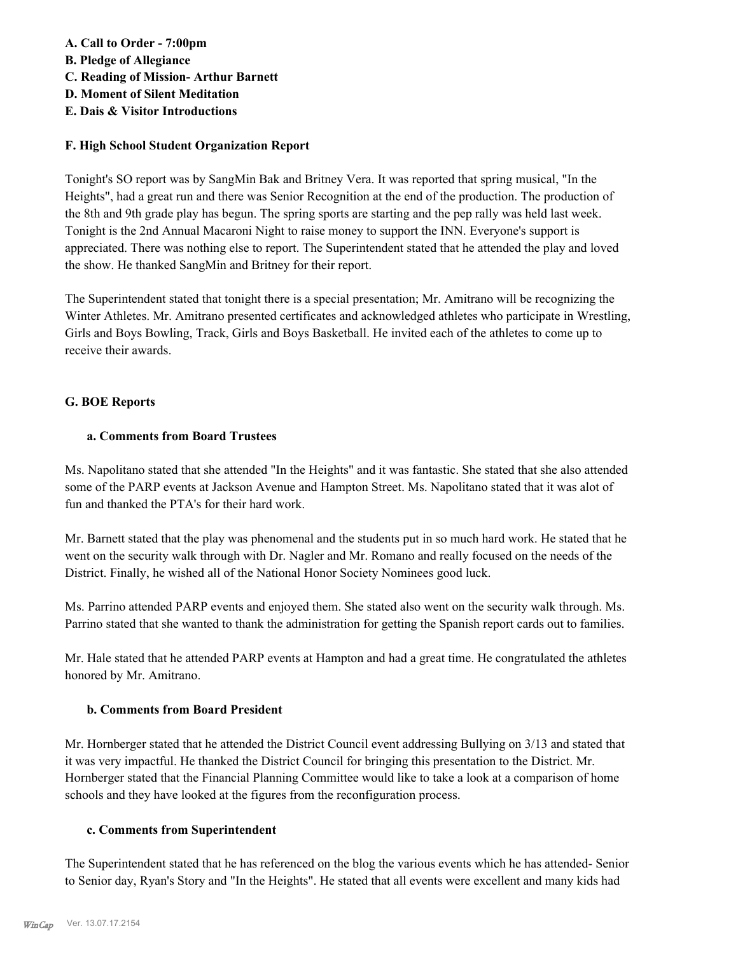# **A. Call to Order - 7:00pm**

**B. Pledge of Allegiance**

- **C. Reading of Mission- Arthur Barnett**
- **D. Moment of Silent Meditation**
- **E. Dais & Visitor Introductions**

# **F. High School Student Organization Report**

Tonight's SO report was by SangMin Bak and Britney Vera. It was reported that spring musical, "In the Heights", had a great run and there was Senior Recognition at the end of the production. The production of the 8th and 9th grade play has begun. The spring sports are starting and the pep rally was held last week. Tonight is the 2nd Annual Macaroni Night to raise money to support the INN. Everyone's support is appreciated. There was nothing else to report. The Superintendent stated that he attended the play and loved the show. He thanked SangMin and Britney for their report.

The Superintendent stated that tonight there is a special presentation; Mr. Amitrano will be recognizing the Winter Athletes. Mr. Amitrano presented certificates and acknowledged athletes who participate in Wrestling, Girls and Boys Bowling, Track, Girls and Boys Basketball. He invited each of the athletes to come up to receive their awards.

# **G. BOE Reports**

# **a. Comments from Board Trustees**

Ms. Napolitano stated that she attended "In the Heights" and it was fantastic. She stated that she also attended some of the PARP events at Jackson Avenue and Hampton Street. Ms. Napolitano stated that it was alot of fun and thanked the PTA's for their hard work.

Mr. Barnett stated that the play was phenomenal and the students put in so much hard work. He stated that he went on the security walk through with Dr. Nagler and Mr. Romano and really focused on the needs of the District. Finally, he wished all of the National Honor Society Nominees good luck.

Ms. Parrino attended PARP events and enjoyed them. She stated also went on the security walk through. Ms. Parrino stated that she wanted to thank the administration for getting the Spanish report cards out to families.

Mr. Hale stated that he attended PARP events at Hampton and had a great time. He congratulated the athletes honored by Mr. Amitrano.

# **b. Comments from Board President**

Mr. Hornberger stated that he attended the District Council event addressing Bullying on 3/13 and stated that it was very impactful. He thanked the District Council for bringing this presentation to the District. Mr. Hornberger stated that the Financial Planning Committee would like to take a look at a comparison of home schools and they have looked at the figures from the reconfiguration process.

# **c. Comments from Superintendent**

The Superintendent stated that he has referenced on the blog the various events which he has attended- Senior to Senior day, Ryan's Story and "In the Heights". He stated that all events were excellent and many kids had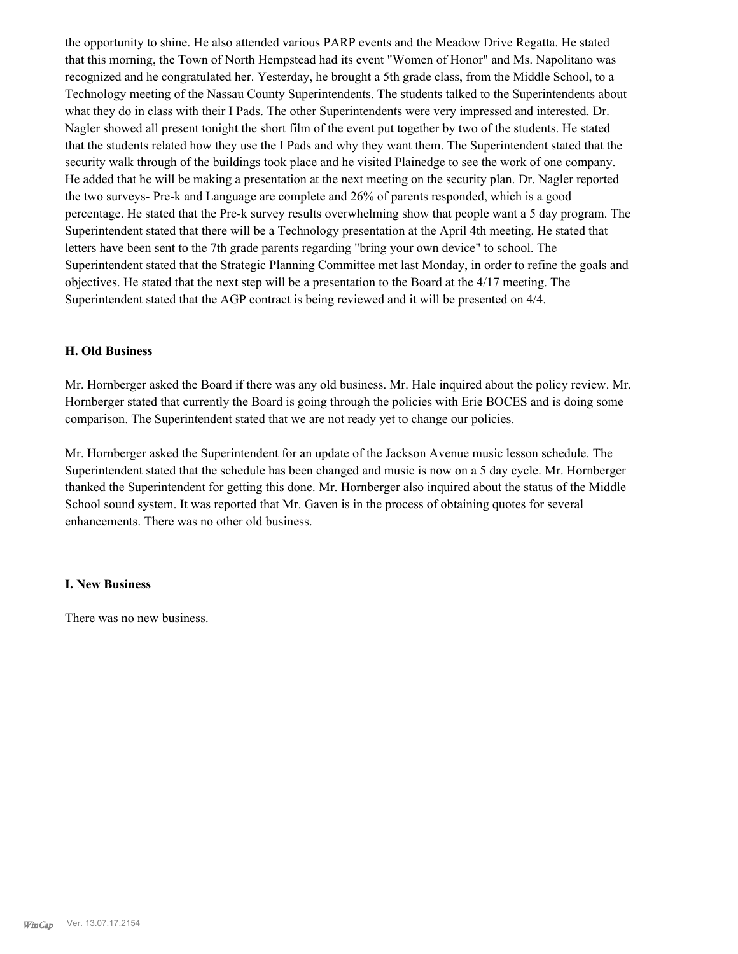the opportunity to shine. He also attended various PARP events and the Meadow Drive Regatta. He stated that this morning, the Town of North Hempstead had its event "Women of Honor" and Ms. Napolitano was recognized and he congratulated her. Yesterday, he brought a 5th grade class, from the Middle School, to a Technology meeting of the Nassau County Superintendents. The students talked to the Superintendents about what they do in class with their I Pads. The other Superintendents were very impressed and interested. Dr. Nagler showed all present tonight the short film of the event put together by two of the students. He stated that the students related how they use the I Pads and why they want them. The Superintendent stated that the security walk through of the buildings took place and he visited Plainedge to see the work of one company. He added that he will be making a presentation at the next meeting on the security plan. Dr. Nagler reported the two surveys- Pre-k and Language are complete and 26% of parents responded, which is a good percentage. He stated that the Pre-k survey results overwhelming show that people want a 5 day program. The Superintendent stated that there will be a Technology presentation at the April 4th meeting. He stated that letters have been sent to the 7th grade parents regarding "bring your own device" to school. The Superintendent stated that the Strategic Planning Committee met last Monday, in order to refine the goals and objectives. He stated that the next step will be a presentation to the Board at the 4/17 meeting. The Superintendent stated that the AGP contract is being reviewed and it will be presented on 4/4.

#### **H. Old Business**

Mr. Hornberger asked the Board if there was any old business. Mr. Hale inquired about the policy review. Mr. Hornberger stated that currently the Board is going through the policies with Erie BOCES and is doing some comparison. The Superintendent stated that we are not ready yet to change our policies.

Mr. Hornberger asked the Superintendent for an update of the Jackson Avenue music lesson schedule. The Superintendent stated that the schedule has been changed and music is now on a 5 day cycle. Mr. Hornberger thanked the Superintendent for getting this done. Mr. Hornberger also inquired about the status of the Middle School sound system. It was reported that Mr. Gaven is in the process of obtaining quotes for several enhancements. There was no other old business.

#### **I. New Business**

There was no new business.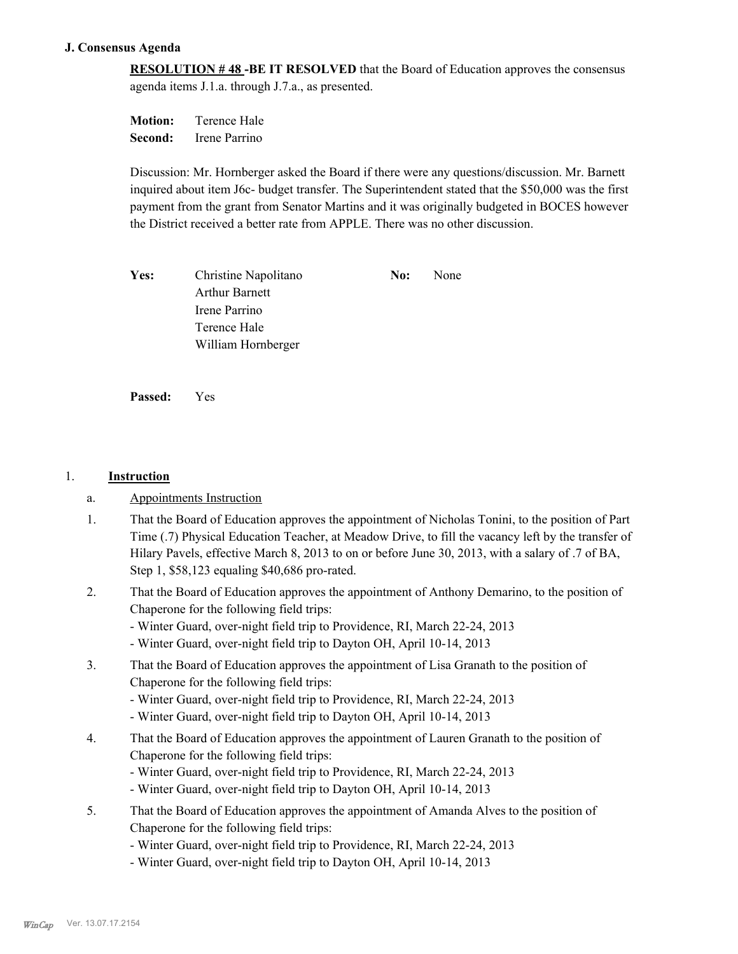#### **J. Consensus Agenda**

**RESOLUTION # 48 -BE IT RESOLVED** that the Board of Education approves the consensus agenda items J.1.a. through J.7.a., as presented.

**Motion:** Terence Hale **Second:** Irene Parrino

Discussion: Mr. Hornberger asked the Board if there were any questions/discussion. Mr. Barnett inquired about item J6c- budget transfer. The Superintendent stated that the \$50,000 was the first payment from the grant from Senator Martins and it was originally budgeted in BOCES however the District received a better rate from APPLE. There was no other discussion.

Yes: Christine Napolitano **No:** None Arthur Barnett Irene Parrino Terence Hale William Hornberger

**Passed:** Yes

#### 1. **Instruction**

- a. Appointments Instruction
- That the Board of Education approves the appointment of Nicholas Tonini, to the position of Part Time (.7) Physical Education Teacher, at Meadow Drive, to fill the vacancy left by the transfer of Hilary Pavels, effective March 8, 2013 to on or before June 30, 2013, with a salary of .7 of BA, Step 1, \$58,123 equaling \$40,686 pro-rated. 1.
- That the Board of Education approves the appointment of Anthony Demarino, to the position of Chaperone for the following field trips: 2.
	- Winter Guard, over-night field trip to Providence, RI, March 22-24, 2013
	- Winter Guard, over-night field trip to Dayton OH, April 10-14, 2013
- That the Board of Education approves the appointment of Lisa Granath to the position of Chaperone for the following field trips: 3.
	- Winter Guard, over-night field trip to Providence, RI, March 22-24, 2013
	- Winter Guard, over-night field trip to Dayton OH, April 10-14, 2013
- That the Board of Education approves the appointment of Lauren Granath to the position of Chaperone for the following field trips: 4.
	- Winter Guard, over-night field trip to Providence, RI, March 22-24, 2013
	- Winter Guard, over-night field trip to Dayton OH, April 10-14, 2013
- That the Board of Education approves the appointment of Amanda Alves to the position of Chaperone for the following field trips: 5.
	- Winter Guard, over-night field trip to Providence, RI, March 22-24, 2013
	- Winter Guard, over-night field trip to Dayton OH, April 10-14, 2013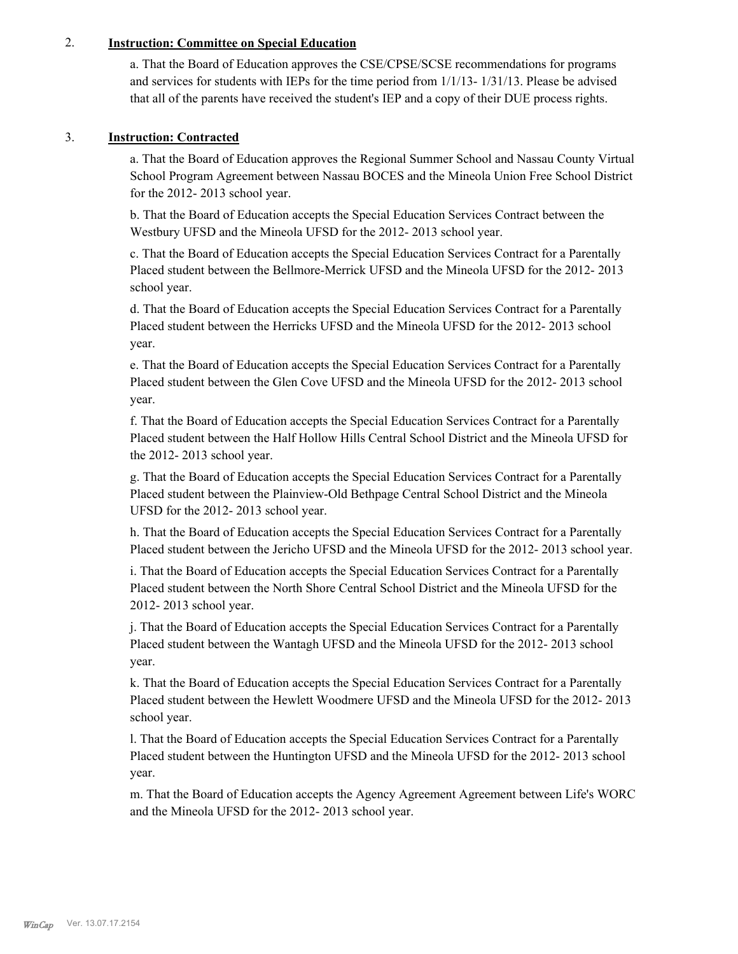# 2. **Instruction: Committee on Special Education**

a. That the Board of Education approves the CSE/CPSE/SCSE recommendations for programs and services for students with IEPs for the time period from 1/1/13- 1/31/13. Please be advised that all of the parents have received the student's IEP and a copy of their DUE process rights.

# 3. **Instruction: Contracted**

a. That the Board of Education approves the Regional Summer School and Nassau County Virtual School Program Agreement between Nassau BOCES and the Mineola Union Free School District for the 2012- 2013 school year.

b. That the Board of Education accepts the Special Education Services Contract between the Westbury UFSD and the Mineola UFSD for the 2012- 2013 school year.

c. That the Board of Education accepts the Special Education Services Contract for a Parentally Placed student between the Bellmore-Merrick UFSD and the Mineola UFSD for the 2012- 2013 school year.

d. That the Board of Education accepts the Special Education Services Contract for a Parentally Placed student between the Herricks UFSD and the Mineola UFSD for the 2012- 2013 school year.

e. That the Board of Education accepts the Special Education Services Contract for a Parentally Placed student between the Glen Cove UFSD and the Mineola UFSD for the 2012- 2013 school year.

f. That the Board of Education accepts the Special Education Services Contract for a Parentally Placed student between the Half Hollow Hills Central School District and the Mineola UFSD for the 2012- 2013 school year.

g. That the Board of Education accepts the Special Education Services Contract for a Parentally Placed student between the Plainview-Old Bethpage Central School District and the Mineola UFSD for the 2012- 2013 school year.

h. That the Board of Education accepts the Special Education Services Contract for a Parentally Placed student between the Jericho UFSD and the Mineola UFSD for the 2012- 2013 school year.

i. That the Board of Education accepts the Special Education Services Contract for a Parentally Placed student between the North Shore Central School District and the Mineola UFSD for the 2012- 2013 school year.

j. That the Board of Education accepts the Special Education Services Contract for a Parentally Placed student between the Wantagh UFSD and the Mineola UFSD for the 2012- 2013 school year.

k. That the Board of Education accepts the Special Education Services Contract for a Parentally Placed student between the Hewlett Woodmere UFSD and the Mineola UFSD for the 2012- 2013 school year.

l. That the Board of Education accepts the Special Education Services Contract for a Parentally Placed student between the Huntington UFSD and the Mineola UFSD for the 2012- 2013 school year.

m. That the Board of Education accepts the Agency Agreement Agreement between Life's WORC and the Mineola UFSD for the 2012- 2013 school year.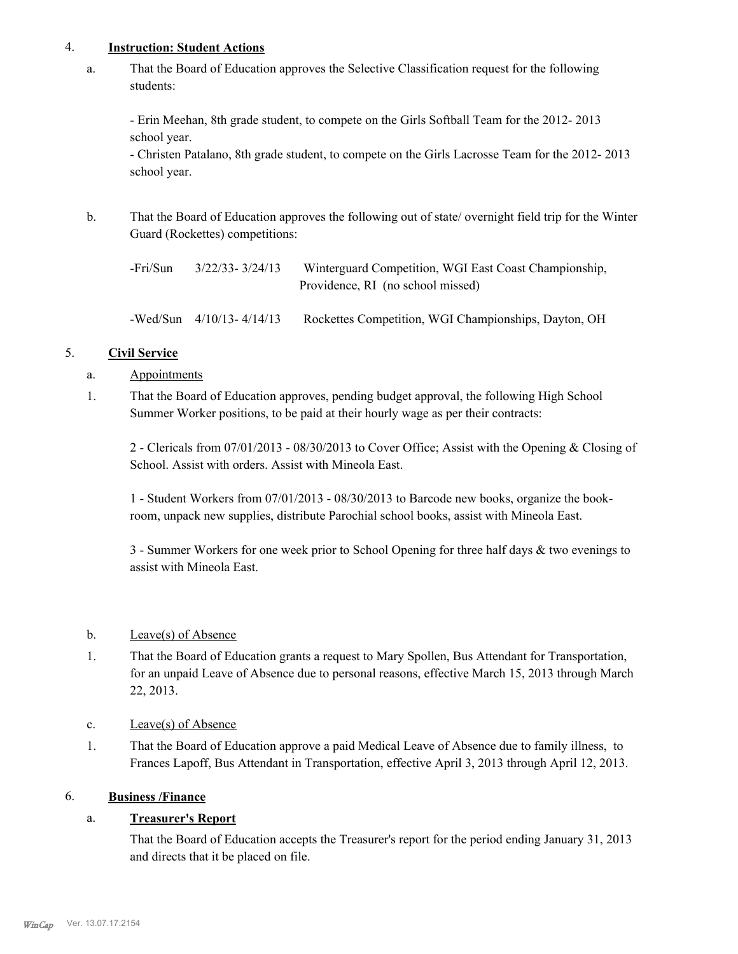#### 4. **Instruction: Student Actions**

That the Board of Education approves the Selective Classification request for the following students: a.

- Erin Meehan, 8th grade student, to compete on the Girls Softball Team for the 2012- 2013 school year.

- Christen Patalano, 8th grade student, to compete on the Girls Lacrosse Team for the 2012- 2013 school year.

That the Board of Education approves the following out of state/ overnight field trip for the Winter Guard (Rockettes) competitions: b.

-Fri/Sun 3/22/33- 3/24/13 Winterguard Competition, WGI East Coast Championship, Providence, RI (no school missed)

-Wed/Sun 4/10/13- 4/14/13 Rockettes Competition, WGI Championships, Dayton, OH

# 5. **Civil Service**

- a. Appointments
- That the Board of Education approves, pending budget approval, the following High School Summer Worker positions, to be paid at their hourly wage as per their contracts: 1.

2 - Clericals from 07/01/2013 - 08/30/2013 to Cover Office; Assist with the Opening & Closing of School. Assist with orders. Assist with Mineola East.

1 - Student Workers from 07/01/2013 - 08/30/2013 to Barcode new books, organize the bookroom, unpack new supplies, distribute Parochial school books, assist with Mineola East.

3 - Summer Workers for one week prior to School Opening for three half days & two evenings to assist with Mineola East.

# b. Leave(s) of Absence

- That the Board of Education grants a request to Mary Spollen, Bus Attendant for Transportation, for an unpaid Leave of Absence due to personal reasons, effective March 15, 2013 through March 22, 2013. 1.
- c. Leave(s) of Absence
- That the Board of Education approve a paid Medical Leave of Absence due to family illness, to Frances Lapoff, Bus Attendant in Transportation, effective April 3, 2013 through April 12, 2013. 1.

# 6. **Business /Finance**

# a. **Treasurer's Report**

That the Board of Education accepts the Treasurer's report for the period ending January 31, 2013 and directs that it be placed on file.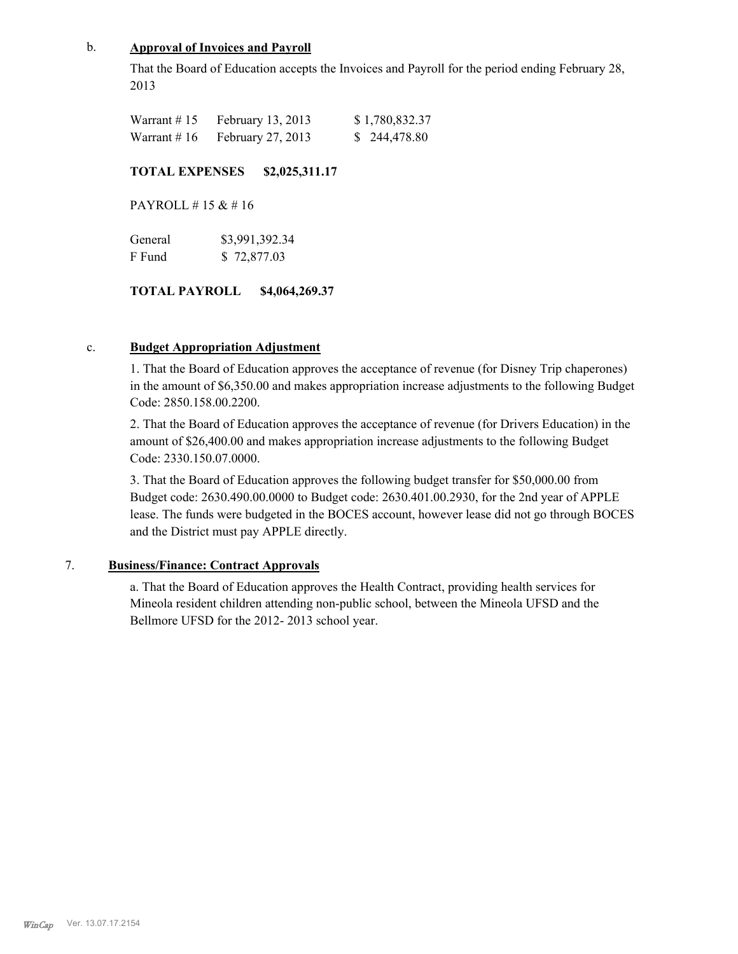## b. **Approval of Invoices and Payroll**

That the Board of Education accepts the Invoices and Payroll for the period ending February 28, 2013

| Warrant #15   | February 13, 2013 | \$1,780,832.37 |
|---------------|-------------------|----------------|
| Warrant $#16$ | February 27, 2013 | \$244,478.80   |

#### **TOTAL EXPENSES \$2,025,311.17**

PAYROLL # 15 & # 16

| General | \$3,991,392.34 |
|---------|----------------|
| F Fund  | \$72,877.03    |

# **TOTAL PAYROLL \$4,064,269.37**

#### c. **Budget Appropriation Adjustment**

1. That the Board of Education approves the acceptance of revenue (for Disney Trip chaperones) in the amount of \$6,350.00 and makes appropriation increase adjustments to the following Budget Code: 2850.158.00.2200.

2. That the Board of Education approves the acceptance of revenue (for Drivers Education) in the amount of \$26,400.00 and makes appropriation increase adjustments to the following Budget Code: 2330.150.07.0000.

3. That the Board of Education approves the following budget transfer for \$50,000.00 from Budget code: 2630.490.00.0000 to Budget code: 2630.401.00.2930, for the 2nd year of APPLE lease. The funds were budgeted in the BOCES account, however lease did not go through BOCES and the District must pay APPLE directly.

#### 7. **Business/Finance: Contract Approvals**

a. That the Board of Education approves the Health Contract, providing health services for Mineola resident children attending non-public school, between the Mineola UFSD and the Bellmore UFSD for the 2012- 2013 school year.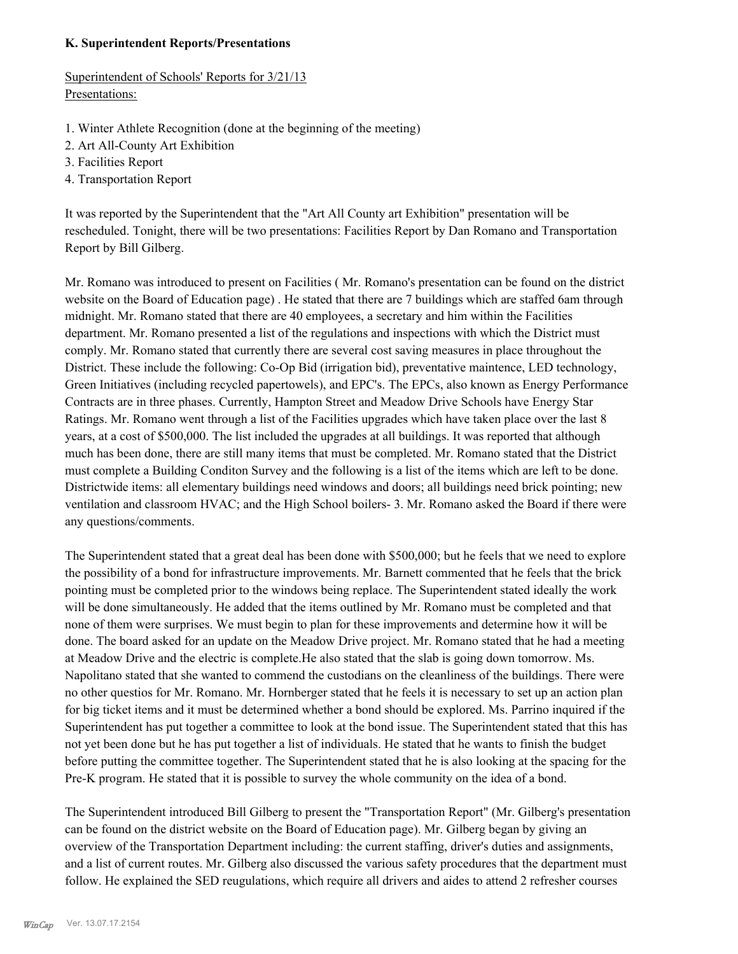#### **K. Superintendent Reports/Presentations**

Superintendent of Schools' Reports for 3/21/13 Presentations:

- 1. Winter Athlete Recognition (done at the beginning of the meeting)
- 2. Art All-County Art Exhibition
- 3. Facilities Report
- 4. Transportation Report

It was reported by the Superintendent that the "Art All County art Exhibition" presentation will be rescheduled. Tonight, there will be two presentations: Facilities Report by Dan Romano and Transportation Report by Bill Gilberg.

Mr. Romano was introduced to present on Facilities ( Mr. Romano's presentation can be found on the district website on the Board of Education page) . He stated that there are 7 buildings which are staffed 6am through midnight. Mr. Romano stated that there are 40 employees, a secretary and him within the Facilities department. Mr. Romano presented a list of the regulations and inspections with which the District must comply. Mr. Romano stated that currently there are several cost saving measures in place throughout the District. These include the following: Co-Op Bid (irrigation bid), preventative maintence, LED technology, Green Initiatives (including recycled papertowels), and EPC's. The EPCs, also known as Energy Performance Contracts are in three phases. Currently, Hampton Street and Meadow Drive Schools have Energy Star Ratings. Mr. Romano went through a list of the Facilities upgrades which have taken place over the last 8 years, at a cost of \$500,000. The list included the upgrades at all buildings. It was reported that although much has been done, there are still many items that must be completed. Mr. Romano stated that the District must complete a Building Conditon Survey and the following is a list of the items which are left to be done. Districtwide items: all elementary buildings need windows and doors; all buildings need brick pointing; new ventilation and classroom HVAC; and the High School boilers- 3. Mr. Romano asked the Board if there were any questions/comments.

The Superintendent stated that a great deal has been done with \$500,000; but he feels that we need to explore the possibility of a bond for infrastructure improvements. Mr. Barnett commented that he feels that the brick pointing must be completed prior to the windows being replace. The Superintendent stated ideally the work will be done simultaneously. He added that the items outlined by Mr. Romano must be completed and that none of them were surprises. We must begin to plan for these improvements and determine how it will be done. The board asked for an update on the Meadow Drive project. Mr. Romano stated that he had a meeting at Meadow Drive and the electric is complete.He also stated that the slab is going down tomorrow. Ms. Napolitano stated that she wanted to commend the custodians on the cleanliness of the buildings. There were no other questios for Mr. Romano. Mr. Hornberger stated that he feels it is necessary to set up an action plan for big ticket items and it must be determined whether a bond should be explored. Ms. Parrino inquired if the Superintendent has put together a committee to look at the bond issue. The Superintendent stated that this has not yet been done but he has put together a list of individuals. He stated that he wants to finish the budget before putting the committee together. The Superintendent stated that he is also looking at the spacing for the Pre-K program. He stated that it is possible to survey the whole community on the idea of a bond.

The Superintendent introduced Bill Gilberg to present the "Transportation Report" (Mr. Gilberg's presentation can be found on the district website on the Board of Education page). Mr. Gilberg began by giving an overview of the Transportation Department including: the current staffing, driver's duties and assignments, and a list of current routes. Mr. Gilberg also discussed the various safety procedures that the department must follow. He explained the SED reugulations, which require all drivers and aides to attend 2 refresher courses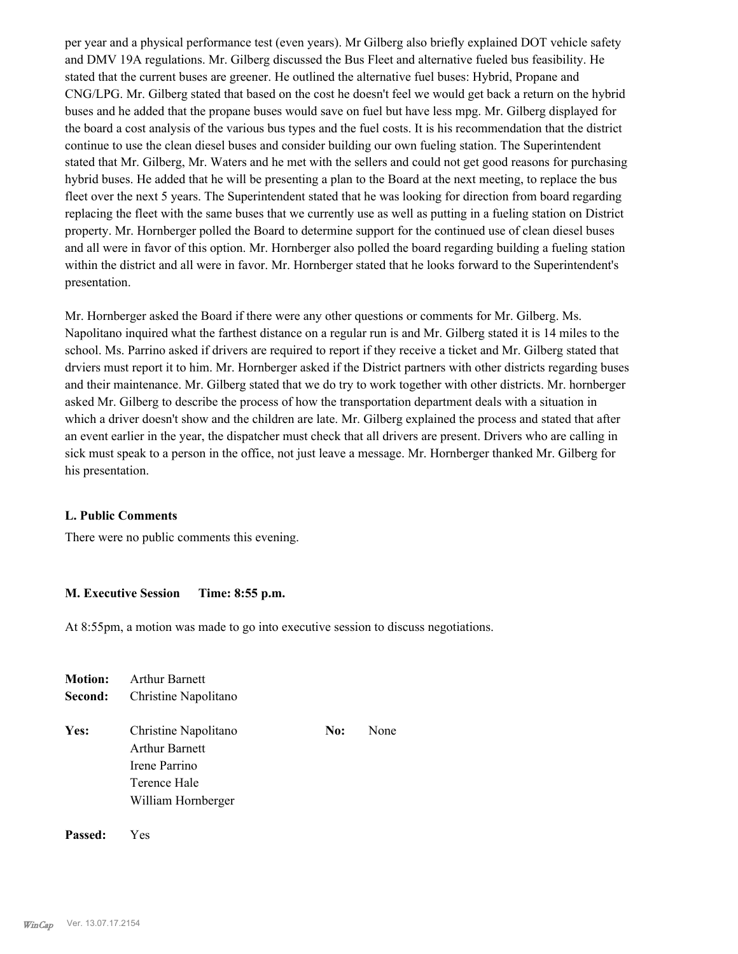per year and a physical performance test (even years). Mr Gilberg also briefly explained DOT vehicle safety and DMV 19A regulations. Mr. Gilberg discussed the Bus Fleet and alternative fueled bus feasibility. He stated that the current buses are greener. He outlined the alternative fuel buses: Hybrid, Propane and CNG/LPG. Mr. Gilberg stated that based on the cost he doesn't feel we would get back a return on the hybrid buses and he added that the propane buses would save on fuel but have less mpg. Mr. Gilberg displayed for the board a cost analysis of the various bus types and the fuel costs. It is his recommendation that the district continue to use the clean diesel buses and consider building our own fueling station. The Superintendent stated that Mr. Gilberg, Mr. Waters and he met with the sellers and could not get good reasons for purchasing hybrid buses. He added that he will be presenting a plan to the Board at the next meeting, to replace the bus fleet over the next 5 years. The Superintendent stated that he was looking for direction from board regarding replacing the fleet with the same buses that we currently use as well as putting in a fueling station on District property. Mr. Hornberger polled the Board to determine support for the continued use of clean diesel buses and all were in favor of this option. Mr. Hornberger also polled the board regarding building a fueling station within the district and all were in favor. Mr. Hornberger stated that he looks forward to the Superintendent's presentation.

Mr. Hornberger asked the Board if there were any other questions or comments for Mr. Gilberg. Ms. Napolitano inquired what the farthest distance on a regular run is and Mr. Gilberg stated it is 14 miles to the school. Ms. Parrino asked if drivers are required to report if they receive a ticket and Mr. Gilberg stated that drviers must report it to him. Mr. Hornberger asked if the District partners with other districts regarding buses and their maintenance. Mr. Gilberg stated that we do try to work together with other districts. Mr. hornberger asked Mr. Gilberg to describe the process of how the transportation department deals with a situation in which a driver doesn't show and the children are late. Mr. Gilberg explained the process and stated that after an event earlier in the year, the dispatcher must check that all drivers are present. Drivers who are calling in sick must speak to a person in the office, not just leave a message. Mr. Hornberger thanked Mr. Gilberg for his presentation.

#### **L. Public Comments**

There were no public comments this evening.

#### **M. Executive Session Time: 8:55 p.m.**

At 8:55pm, a motion was made to go into executive session to discuss negotiations.

| <b>Motion:</b> | <b>Arthur Barnett</b><br>Christine Napolitano                                                 |     |      |  |  |
|----------------|-----------------------------------------------------------------------------------------------|-----|------|--|--|
| Second:        |                                                                                               |     |      |  |  |
| Yes:           | Christine Napolitano<br>Arthur Barnett<br>Irene Parrino<br>Terence Hale<br>William Hornberger | No: | None |  |  |
|                |                                                                                               |     |      |  |  |

**Passed:** Yes